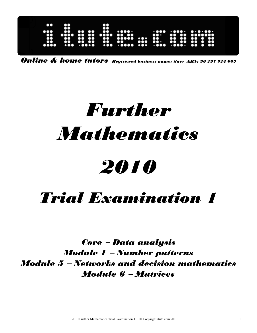| $\bullet\bullet$<br>$\bullet\bullet\bullet$<br>$\ddot{3}$<br> | X<br>$\bullet$<br>ō<br>ãõo | 88<br>ŏŏ<br>$\bullet\bullet$<br>œ<br>$\bullet$<br>$\bullet$<br>$\bullet\bullet$<br>no e<br>. 0000 | $\bullet\bullet\bullet\bullet\bullet\bullet$<br><br><br>00000<br>$\bullet\bullet\bullet$<br>$\dddotsc$ | <br>$\bullet\bullet\cdot$<br>Ф<br>00<br>$\bullet\bullet\cdot$<br>$\bullet \bullet \bullet \bullet \bullet \bullet \bullet \bullet$ | $\cdot\cdot\cdot\cdot\cdot\cdot\cdot\cdot\cdot\cdot$<br>$\mathbf{o}$<br><br>$\mathbf{r}$<br>$\bullet$<br>$\bullet$<br>$\bullet$<br>$\bullet$<br>$\bullet\bullet$<br>. O<br>$\bullet\bullet$<br>$\cdots$<br>$\bullet$<br>$\bullet\bullet$ |  |
|---------------------------------------------------------------|----------------------------|---------------------------------------------------------------------------------------------------|--------------------------------------------------------------------------------------------------------|------------------------------------------------------------------------------------------------------------------------------------|------------------------------------------------------------------------------------------------------------------------------------------------------------------------------------------------------------------------------------------|--|
|                                                               |                            |                                                                                                   |                                                                                                        |                                                                                                                                    |                                                                                                                                                                                                                                          |  |

Online & home tutors Registered business name: itute ABN: 96 297 924 083

# Further **Mathematics** 2010

# Trial Examination 1

Core − Data analysis Module 1 − Number patterns Module 5 − Networks and decision mathematics Module 6 − Matrices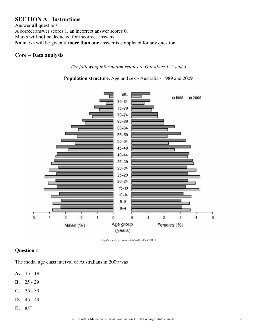# **SECTION A Instructions**

Answer **all** questions A correct answer scores 1, an incorrect answer scores 0. Marks will **not** be deducted for incorrect answers. **No** marks will be given if **more than one** answer is completed for any question.

#### **Core** − **Data analysis**

*The following information relates to Questions 1, 2 and 3* 

**Population structure,** Age and sex **-** Australia **-** 1989 and 2009



(http://www.abs.gov.au/Ausstats/abs@.nsf/mf/3201.0)

#### **Question 1**

The modal age class interval of Australians in 2009 was

- **A.** 15 19
- **B.** 25 29
- **C.** 35 39
- **D.** 45 49
- **E.** 85<sup>+</sup>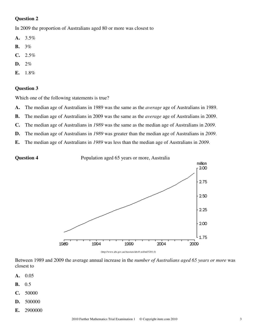In 2009 the proportion of Australians aged 80 or more was closest to

- **A.** 3.5%
- **B.** 3%
- **C.** 2.5%
- **D.** 2%
- **E.** 1.8%

#### **Question 3**

Which one of the following statements is true?

- **A.** The median age of Australians in 1989 was the same as the *average* age of Australians in 1989.
- **B.** The median age of Australians in 2009 was the same as the *average* age of Australians in 2009.
- **C.** The median age of Australians in *1989* was the same as the median age of Australians in *2009*.
- **D.** The median age of Australians in *1989* was greater than the median age of Australians in *2009*.
- **E.** The median age of Australians in *1989* was less than the median age of Australians in *2009*.



(http://www.abs.gov.au/Ausstats/abs@.nsf/mf/3201.0)

Between 1989 and 2009 the average annual increase in the *number of Australians aged 65 years or more* was closest to

- **A.** 0.05
- **B.** 0.5
- **C.** 50000
- **D.** 500000
- **E.** 2900000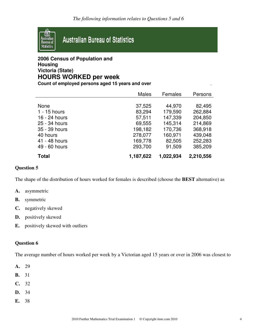

# **2006 Census of Population and Housing Victoria (State) HOURS WORKED per week**

**Count of employed persons aged 15 years and over** 

|                | <b>Males</b> | Females   | Persons   |
|----------------|--------------|-----------|-----------|
|                |              |           |           |
| None           | 37,525       | 44,970    | 82,495    |
| $1 - 15$ hours | 83,294       | 179,590   | 262,884   |
| 16 - 24 hours  | 57,511       | 147,339   | 204,850   |
| 25 - 34 hours  | 69,555       | 145,314   | 214,869   |
| 35 - 39 hours  | 198,182      | 170,736   | 368,918   |
| 40 hours       | 278,077      | 160,971   | 439,048   |
| 41 - 48 hours  | 169,778      | 82,505    | 252,283   |
| 49 - 60 hours  | 293,700      | 91,509    | 385,209   |
| <b>Total</b>   | 1,187,622    | 1,022,934 | 2,210,556 |

#### **Question 5**

The shape of the distribution of hours worked for females is described (choose the **BEST** alternative) as

- **A.** asymmetric
- **B.** symmetric
- **C.** negatively skewed
- **D.** positively skewed
- **E.** positively skewed with outliers

#### **Question 6**

The average number of hours worked per week by a Victorian aged 15 years or over in 2006 was closest to

- **A.** 29
- **B.** 31
- **C.** 32
- **D.** 34
- **E.** 38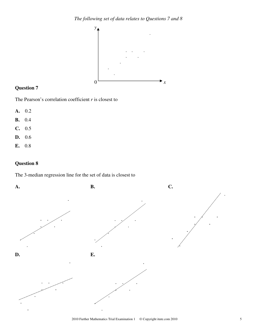

The Pearson's correlation coefficient *r* is closest to

- **A.** 0.2
- **B.** 0.4
- **C.** 0.5
- **D.** 0.6
- **E.** 0.8

#### **Question 8**

The 3-median regression line for the set of data is closest to

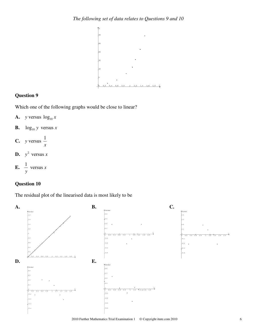

Which one of the following graphs would be close to linear?

- **A.** *y* versus  $\log_{10} x$
- **B.**  $log_{10} y$  versus *x*
- **C.** *y* versus *x* 1
- **D.**  $y^2$  versus *x*

**E.** 
$$
\frac{1}{y}
$$
 versus x

# **Question 10**

The residual plot of the linearised data is most likely to be

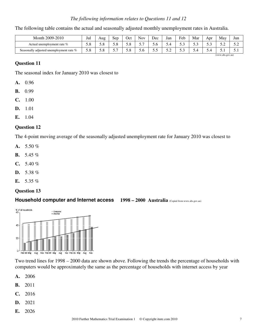#### *The following information relates to Questions 11 and 12*

| Month 2009-2010                         | Jul | Aug  | Sep | Oct | $\mathbf{r}$<br>Nov | Dec | Jan | Feb | Mar              | Apr | May   | Jun   |
|-----------------------------------------|-----|------|-----|-----|---------------------|-----|-----|-----|------------------|-----|-------|-------|
| Actual unemployment rate $\%$           | 5.8 | .∠.∪ | J.O | J.O | <u>.</u>            | 5.6 | ◡   | ن د | ن. ر             | ن د | ے . ۔ | ے . ۔ |
| Seasonally adjusted unemployment rate % | 5.8 | ິ.∪  | ◡.  | J.C | 0.C                 | ັ∙  | ے ، | ິ∘  | ىي ر             | O.4 | J.I   | ◡ ・   |
|                                         |     |      |     |     |                     |     |     |     | (www.abs.gov.au) |     |       |       |

The following table contains the actual and seasonally adjusted monthly unemployment rates in Australia.

#### **Question 11**

The seasonal index for January 2010 was closest to

- **A.** 0.96
- **B.** 0.99
- **C.** 1.00
- **D.** 1.01
- **E.** 1.04

#### **Question 12**

The 4-point moving average of the seasonally adjusted unemployment rate for January 2010 was closest to

- **A.** 5.50 %
- **B.** 5.45 %
- **C.** 5.40 %
- **D.** 5.38 %
- **E.** 5.35 %

#### **Question 13**

#### **Household computer and Internet access 1998 – 2000 Australia** (Copied from www.abs.gov.au)





Two trend lines for 1998 – 2000 data are shown above. Following the trends the percentage of households with computers would be approximately the same as the percentage of households with internet access by year

- **A.** 2006
- **B.** 2011
- **C.** 2016
- **D.** 2021
- **E.** 2026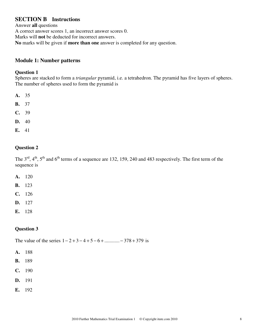# **SECTION B Instructions**

Answer **all** questions A correct answer scores 1, an incorrect answer scores 0. Marks will **not** be deducted for incorrect answers. **No** marks will be given if **more than one** answer is completed for any question.

## **Module 1: Number patterns**

#### **Question 1**

Spheres are stacked to form a *triangular* pyramid, i.e. a tetrahedron. The pyramid has five layers of spheres. The number of spheres used to form the pyramid is

- **A.** 35
- **B.** 37
- **C.** 39
- **D.** 40
- **E.** 41

#### **Question 2**

The  $3<sup>rd</sup>$ ,  $4<sup>th</sup>$ ,  $5<sup>th</sup>$  and  $6<sup>th</sup>$  terms of a sequence are 132, 159, 240 and 483 respectively. The first term of the sequence is

- **A.** 120
- **B.** 123
- **C.** 126
- **D.** 127
- **E.** 128

#### **Question 3**

The value of the series  $1 - 2 + 3 - 4 + 5 - 6 + \dots + 378 + 379$  is

- **A.** 188
- **B.** 189
- **C.** 190
- **D.** 191
- **E.** 192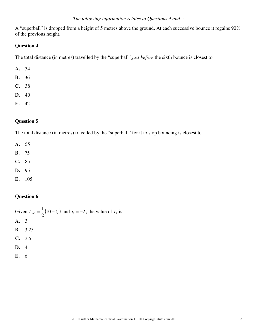#### *The following information relates to Questions 4 and 5*

A "superball" is dropped from a height of 5 metres above the ground. At each successive bounce it regains 90% of the previous height.

#### **Question 4**

The total distance (in metres) travelled by the "superball" *just before* the sixth bounce is closest to

- **A.** 34
- **B.** 36
- **C.** 38
- **D.** 40
- **E.** 42

# **Question 5**

The total distance (in metres) travelled by the "superball" for it to stop bouncing is closest to

**A.** 55

- **B.** 75
- **C.** 85
- **D.** 95
- **E.** 105

#### **Question 6**

|      | Given $t_{n+1} = \frac{1}{2}(10 - t_n)$ and $t_1 = -2$ , the value of $t_5$ is |
|------|--------------------------------------------------------------------------------|
| A. 3 |                                                                                |
|      | <b>B.</b> 3.25                                                                 |
|      | C. 3.5                                                                         |
| D. 4 |                                                                                |
| E. 6 |                                                                                |
|      |                                                                                |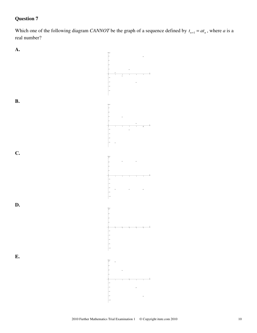Which one of the following diagram *CANNOT* be the graph of a sequence defined by  $t_{n+1} = at_n$ , where *a* is a real number?

**A.**

**B.**

**C.**

**D.**

**E.**

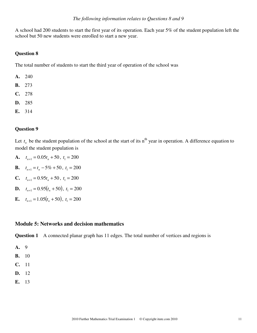A school had 200 students to start the first year of its operation. Each year 5% of the student population left the school but 50 new students were enrolled to start a new year.

#### **Question 8**

The total number of students to start the third year of operation of the school was

- **A.** 240
- **B.** 273
- **C.** 278
- **D.** 285
- **E.** 314

#### **Question 9**

Let  $t_n$  be the student population of the school at the start of its  $n^{th}$  year in operation. A difference equation to model the student population is

- **A.**  $t_{n+1} = 0.05t_n + 50$ ,  $t_1 = 200$
- **B.**  $t_{n+1} = t_n 5\% + 50$ ,  $t_1 = 200$
- **C.**  $t_{n+1} = 0.95t_n + 50$ ,  $t_1 = 200$
- **D.**  $t_{n+1} = 0.95(t_n + 50)$ ,  $t_1 = 200$
- **E.**  $t_{n+1} = 1.05(t_n + 50), t_1 = 200$

#### **Module 5: Networks and decision mathematics**

**Question 1** A connected planar graph has 11 edges. The total number of vertices and regions is

- **A.** 9
- **B.** 10
- **C.** 11
- **D.** 12
- **E.** 13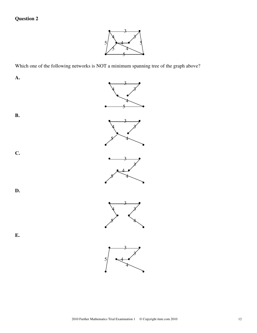

Which one of the following networks is NOT a minimum spanning tree of the graph above?

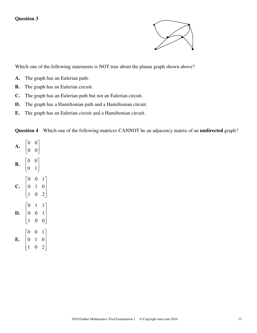

Which one of the following statements is NOT true about the planar graph shown above?

- **A.** The graph has an Eulerian path.
- **B.** The graph has an Eulerian circuit.
- **C.** The graph has an Eulerian path but not an Eulerian circuit.
- **D.** The graph has a Hamiltonian path and a Hamiltonian circuit.
- **E.** The graph has an Eulerian circuit and a Hamiltonian circuit.

**Question 4** Which one of the following matrices CANNOT be an adjacency matrix of an **undirected** graph?

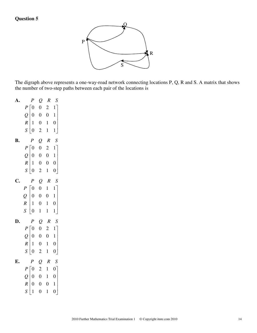

The digraph above represents a one-way-road network connecting locations P, Q, R and S. A matrix that shows the number of two-step paths between each pair of the locations is

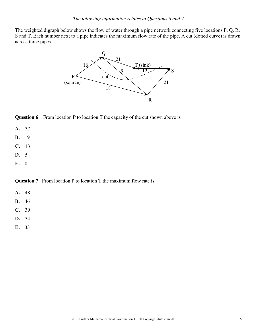The weighted digraph below shows the flow of water through a pipe network connecting five locations P, Q, R, S and T. Each number next to a pipe indicates the maximum flow rate of the pipe. A cut (dotted curve) is drawn across three pipes.





- **A.** 37
- **B.** 19
- **C.** 13
- **D.** 5
- **E.** 0

**Question 7** From location P to location T the maximum flow rate is

- **A.** 48
- **B.** 46
- **C.** 39
- **D.** 34
- **E.** 33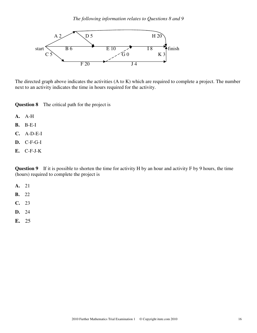

The directed graph above indicates the activities (A to K) which are required to complete a project. The number next to an activity indicates the time in hours required for the activity.

**Question 8** The critical path for the project is

- **A.** A-H
- **B.** B-E-I
- **C.** A-D-E-I
- **D.** C-F-G-I
- **E.** C-F-J-K

**Question 9** If it is possible to shorten the time for activity H by an hour and activity F by 9 hours, the time (hours) required to complete the project is

- **A.** 21
- **B.** 22
- **C.** 23
- **D.** 24
- **E.** 25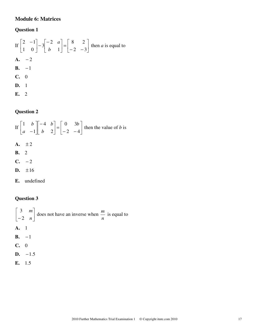# **Module 6: Matrices**

# **Question 1**

If 
$$
\begin{bmatrix} 2 & -1 \\ 1 & 0 \end{bmatrix} - 3 \begin{bmatrix} -2 & a \\ b & 1 \end{bmatrix} = \begin{bmatrix} 8 & 2 \\ -2 & -3 \end{bmatrix}
$$
 then *a* is equal to  
\n**A.** -2  
\n**B.** -1  
\n**C.** 0  
\n**D.** 1  
\n**E.** 2

# **Question 2**

If 
$$
\begin{bmatrix} 1 & b \\ a & -1 \end{bmatrix} \begin{bmatrix} -4 & b \\ b & 2 \end{bmatrix} = \begin{bmatrix} 0 & 3b \\ -2 & -4 \end{bmatrix}
$$
 then the value of *b* is  
\n**A.**  $\pm 2$   
\n**B.** 2  
\n**C.** -2  
\n**D.**  $\pm 16$   
\n**E.** undefined

# **Question 3**

$$
\begin{bmatrix} 3 & m \ -2 & n \end{bmatrix}
$$
 does not have an inverse when  $\frac{m}{n}$  is equal to  
\n**A.** 1  
\n**B.** -1  
\n**C.** 0  
\n**D.** -1.5  
\n**E.** 1.5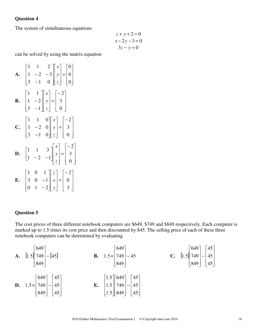The system of simultaneous equations

$$
z+y+2=0
$$

$$
x-2y-3=0
$$

$$
3z-y=0
$$

can be solved by using the matrix equation

**A.** 
$$
\begin{bmatrix} 1 & 1 & 2 \ 1 & -2 & -3 \ 3 & -1 & 0 \ \end{bmatrix} \begin{bmatrix} x \ y \ z \end{bmatrix} = \begin{bmatrix} 0 \ 0 \ 0 \end{bmatrix}
$$
  
\n**B.** 
$$
\begin{bmatrix} 1 & 1 \ 1 & -2 \ 3 & -1 \ \end{bmatrix} \begin{bmatrix} x \ y \ z \end{bmatrix} = \begin{bmatrix} -2 \ 3 \ 0 \end{bmatrix}
$$
  
\n**C.** 
$$
\begin{bmatrix} 1 & 1 & 0 \ 1 & -2 & 0 \ 3 & -1 & 0 \ \end{bmatrix} \begin{bmatrix} x \ z \end{bmatrix} = \begin{bmatrix} -2 \ 3 \ 0 \end{bmatrix}
$$
  
\n**D.** 
$$
\begin{bmatrix} 1 & 1 & 3 \ 1 & -2 & -1 \ \end{bmatrix} \begin{bmatrix} x \ y \ z \end{bmatrix} = \begin{bmatrix} -2 \ 3 \ 0 \end{bmatrix}
$$
  
\n**E.** 
$$
\begin{bmatrix} 1 & 0 & 1 \ 3 & 0 & -1 \ 0 & 1 & -2 \ \end{bmatrix} \begin{bmatrix} x \ y \ z \end{bmatrix} = \begin{bmatrix} -2 \ 0 \ 0 \end{bmatrix}
$$

#### **Question 5**

The cost prices of three different notebook computers are \$649, \$749 and \$849 respectively. Each computer is marked up to 1.5 times its cost price and then discounted by \$45. The selling price of each of these three notebook computers can be determined by evaluating

**A.** 
$$
\begin{bmatrix} 649 \\ 749 \\ 849 \end{bmatrix} - [45]
$$
  
\n**B.**  $1.5 \times \begin{bmatrix} 649 \\ 749 \\ 849 \end{bmatrix} - 45$   
\n**C.**  $\begin{bmatrix} 1.5 \\ 749 \\ 849 \end{bmatrix} - \begin{bmatrix} 45 \\ 45 \\ 849 \end{bmatrix}$   
\n**D.**  $1.5 \times \begin{bmatrix} 649 \\ 749 \\ 45 \end{bmatrix} - \begin{bmatrix} 45 \\ 45 \\ 45 \end{bmatrix}$   
\n**E.**  $\begin{bmatrix} 1.5 \\ 1.5 \\ 1.5 \\ 849 \end{bmatrix} \begin{bmatrix} 45 \\ 749 \\ 45 \end{bmatrix} - \begin{bmatrix} 45 \\ 45 \\ 45 \end{bmatrix}$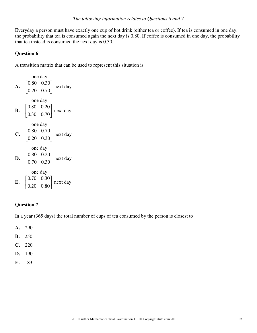Everyday a person must have exactly one cup of hot drink (either tea or coffee). If tea is consumed in one day, the probability that tea is consumed again the next day is 0.80. If coffee is consumed in one day, the probability that tea instead is consumed the next day is 0.30.

#### **Question 6**

A transition matrix that can be used to represent this situation is

 one day **A.** 20.0 70.0 80.0 30.0 next day one day **B.** 30.0 70.0 80.0 20.0 next day one day **C.** 20.0 30.0 80.0 70.0 next day one day **D.** 70.0 30.0 80.0 20.0 next day one day **E.** 20.0 80.0 70.0 30.0 next day

#### **Question 7**

In a year (365 days) the total number of cups of tea consumed by the person is closest to

**A.** 290

- **B.** 250
- **C.** 220
- **D.** 190
- **E.** 183